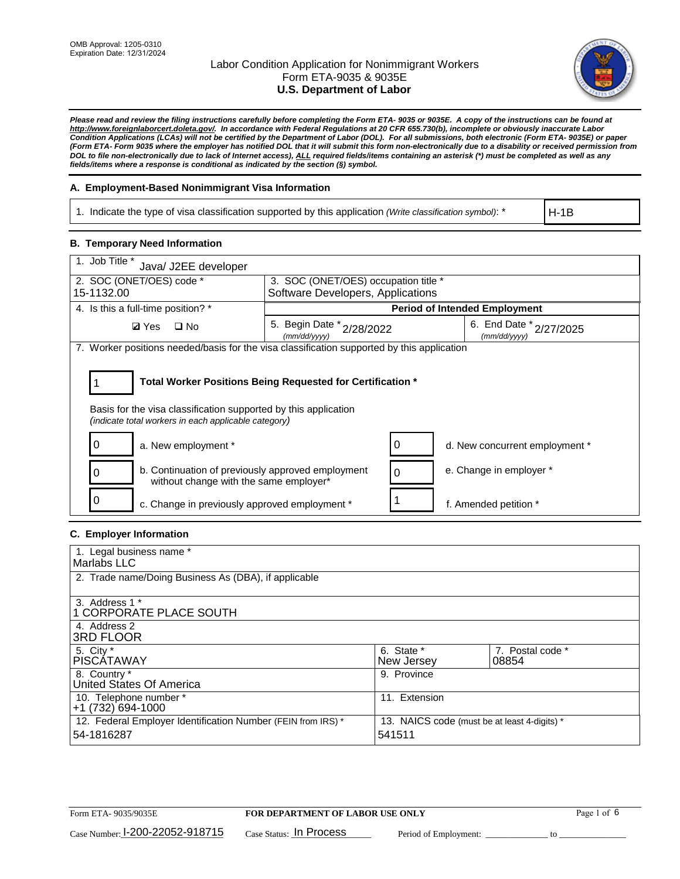

*Please read and review the filing instructions carefully before completing the Form ETA- 9035 or 9035E. A copy of the instructions can be found at http://www.foreignlaborcert.doleta.gov/. In accordance with Federal Regulations at 20 CFR 655.730(b), incomplete or obviously inaccurate Labor Condition Applications (LCAs) will not be certified by the Department of Labor (DOL). For all submissions, both electronic (Form ETA- 9035E) or paper (Form ETA- Form 9035 where the employer has notified DOL that it will submit this form non-electronically due to a disability or received permission from DOL to file non-electronically due to lack of Internet access), ALL required fields/items containing an asterisk (\*) must be completed as well as any fields/items where a response is conditional as indicated by the section (§) symbol.* 

### **A. Employment-Based Nonimmigrant Visa Information**

1. Indicate the type of visa classification supported by this application *(Write classification symbol)*: \*

H-1B

#### **B. Temporary Need Information**

| 1. Job Title *<br>Java/ J2EE developer                                                                                                                                                |                                               |  |                                             |  |  |
|---------------------------------------------------------------------------------------------------------------------------------------------------------------------------------------|-----------------------------------------------|--|---------------------------------------------|--|--|
| 2. SOC (ONET/OES) code *<br>3. SOC (ONET/OES) occupation title *                                                                                                                      |                                               |  |                                             |  |  |
| 15-1132.00                                                                                                                                                                            | Software Developers, Applications             |  |                                             |  |  |
| 4. Is this a full-time position? *                                                                                                                                                    |                                               |  | <b>Period of Intended Employment</b>        |  |  |
| $\square$ No<br><b>Ø</b> Yes                                                                                                                                                          | 5. Begin Date $x_{2/28/2022}$<br>(mm/dd/yyyy) |  | 6. End Date $*_{2/27/2025}$<br>(mm/dd/yyyy) |  |  |
| 7. Worker positions needed/basis for the visa classification supported by this application                                                                                            |                                               |  |                                             |  |  |
| Total Worker Positions Being Requested for Certification *<br>Basis for the visa classification supported by this application<br>(indicate total workers in each applicable category) |                                               |  |                                             |  |  |
| a. New employment *                                                                                                                                                                   |                                               |  | d. New concurrent employment *              |  |  |
| b. Continuation of previously approved employment<br>without change with the same employer*                                                                                           |                                               |  | e. Change in employer *                     |  |  |
| c. Change in previously approved employment *                                                                                                                                         |                                               |  | f. Amended petition *                       |  |  |

## **C. Employer Information**

| 1. Legal business name *                                                   |                                                        |                           |
|----------------------------------------------------------------------------|--------------------------------------------------------|---------------------------|
| Marlabs LLC                                                                |                                                        |                           |
| 2. Trade name/Doing Business As (DBA), if applicable                       |                                                        |                           |
| 3. Address 1 *<br>1 CORPORATE PLACE SOUTH<br>4. Address 2                  |                                                        |                           |
| <b>3RD FLOOR</b>                                                           |                                                        |                           |
| 5. City *<br><b>PISCÁTAWAY</b>                                             | 6. State *<br>New Jersey                               | 7. Postal code *<br>08854 |
| 8. Country *<br>United States Of America                                   | 9. Province                                            |                           |
| 10. Telephone number *<br>$+1(732)694-1000$                                | 11. Extension                                          |                           |
| 12. Federal Employer Identification Number (FEIN from IRS) *<br>54-1816287 | 13. NAICS code (must be at least 4-digits) *<br>541511 |                           |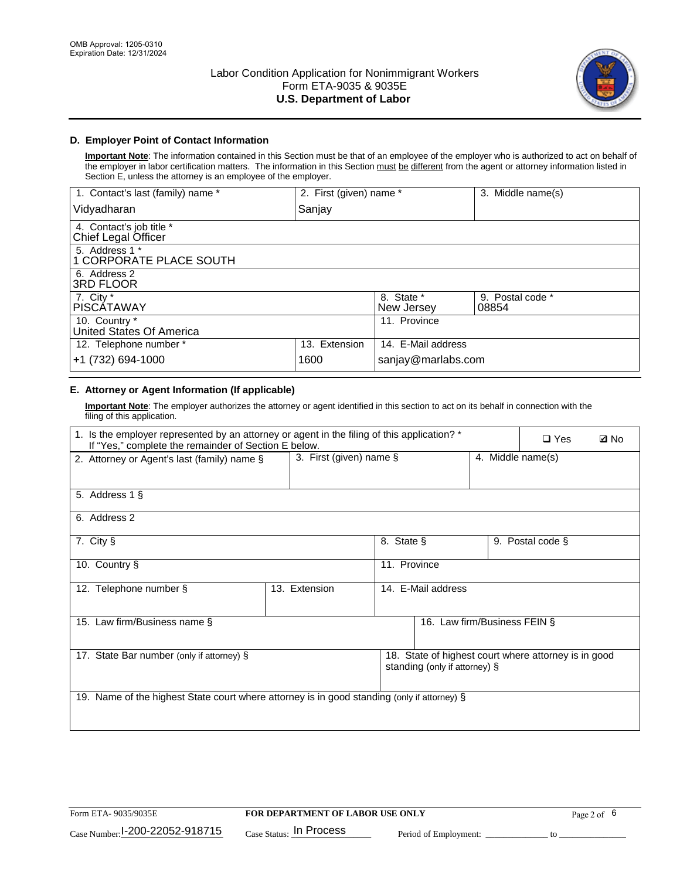

## **D. Employer Point of Contact Information**

**Important Note**: The information contained in this Section must be that of an employee of the employer who is authorized to act on behalf of the employer in labor certification matters. The information in this Section must be different from the agent or attorney information listed in Section E, unless the attorney is an employee of the employer.

| 1. Contact's last (family) name *               | 2. First (given) name * |                          | 3. Middle name(s)         |
|-------------------------------------------------|-------------------------|--------------------------|---------------------------|
| Vidyadharan                                     | Sanjay                  |                          |                           |
| 4. Contact's job title *<br>Chief Legal Officer |                         |                          |                           |
| 5. Address 1 *<br>1 CORPORATE PLACE SOUTH       |                         |                          |                           |
| 6. Address 2<br><b>3RD FLOOR</b>                |                         |                          |                           |
| 7. City *<br><b>PISCÁTAWAY</b>                  |                         | 8. State *<br>New Jersey | 9. Postal code *<br>08854 |
| 10. Country *<br>United States Of America       |                         | 11. Province             |                           |
| 12. Telephone number *                          | 13. Extension           | 14. E-Mail address       |                           |
| +1 (732) 694-1000                               | 1600                    | sanjay@marlabs.com       |                           |

## **E. Attorney or Agent Information (If applicable)**

**Important Note**: The employer authorizes the attorney or agent identified in this section to act on its behalf in connection with the filing of this application.

| 1. Is the employer represented by an attorney or agent in the filing of this application? *<br>If "Yes," complete the remainder of Section E below. |                            |              |                               |                   | $\Box$ Yes                                           | <b>Ø</b> No |
|-----------------------------------------------------------------------------------------------------------------------------------------------------|----------------------------|--------------|-------------------------------|-------------------|------------------------------------------------------|-------------|
| 2. Attorney or Agent's last (family) name §                                                                                                         | 3. First (given) name $\S$ |              |                               | 4. Middle name(s) |                                                      |             |
| 5. Address 1 §                                                                                                                                      |                            |              |                               |                   |                                                      |             |
| 6. Address 2                                                                                                                                        |                            |              |                               |                   |                                                      |             |
| 7. City §                                                                                                                                           |                            | 8. State §   |                               |                   | 9. Postal code §                                     |             |
| 10. Country §                                                                                                                                       |                            | 11. Province |                               |                   |                                                      |             |
| 12. Telephone number §                                                                                                                              | 13. Extension              |              | 14. E-Mail address            |                   |                                                      |             |
| 15. Law firm/Business name §                                                                                                                        |                            |              | 16. Law firm/Business FEIN §  |                   |                                                      |             |
| 17. State Bar number (only if attorney) §                                                                                                           |                            |              | standing (only if attorney) § |                   | 18. State of highest court where attorney is in good |             |
| 19. Name of the highest State court where attorney is in good standing (only if attorney) §                                                         |                            |              |                               |                   |                                                      |             |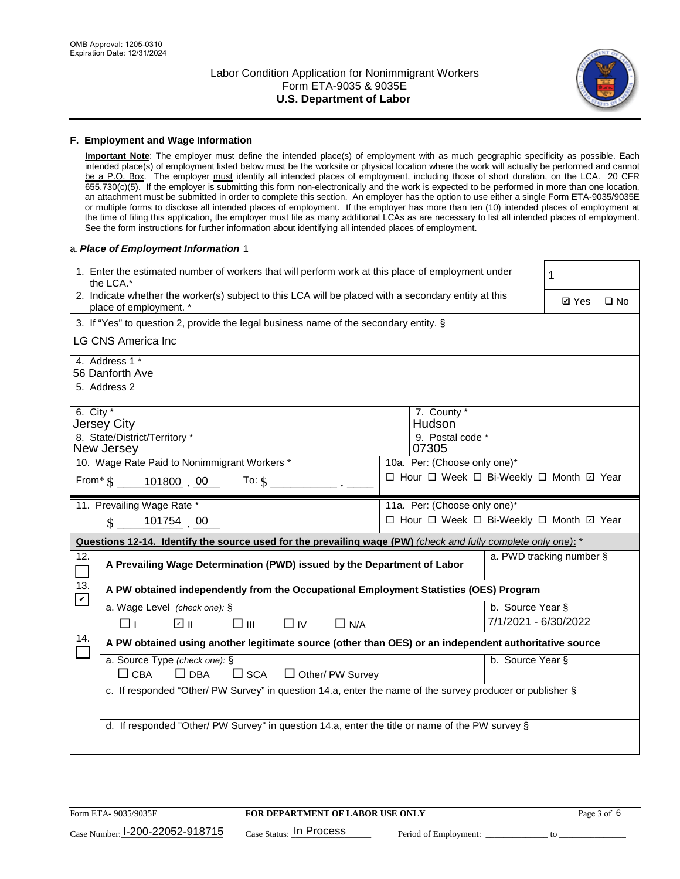

#### **F. Employment and Wage Information**

**Important Note**: The employer must define the intended place(s) of employment with as much geographic specificity as possible. Each intended place(s) of employment listed below must be the worksite or physical location where the work will actually be performed and cannot be a P.O. Box. The employer must identify all intended places of employment, including those of short duration, on the LCA. 20 CFR 655.730(c)(5). If the employer is submitting this form non-electronically and the work is expected to be performed in more than one location, an attachment must be submitted in order to complete this section. An employer has the option to use either a single Form ETA-9035/9035E or multiple forms to disclose all intended places of employment. If the employer has more than ten (10) intended places of employment at the time of filing this application, the employer must file as many additional LCAs as are necessary to list all intended places of employment. See the form instructions for further information about identifying all intended places of employment.

### a.*Place of Employment Information* 1

|                                                                              | 1. Enter the estimated number of workers that will perform work at this place of employment under<br>the LCA.*                 |  |                                          |                          |              |              |  |  |
|------------------------------------------------------------------------------|--------------------------------------------------------------------------------------------------------------------------------|--|------------------------------------------|--------------------------|--------------|--------------|--|--|
|                                                                              | 2. Indicate whether the worker(s) subject to this LCA will be placed with a secondary entity at this<br>place of employment. * |  |                                          |                          | <b>Ø</b> Yes | $\square$ No |  |  |
|                                                                              | 3. If "Yes" to question 2, provide the legal business name of the secondary entity. §                                          |  |                                          |                          |              |              |  |  |
|                                                                              | <b>LG CNS America Inc.</b>                                                                                                     |  |                                          |                          |              |              |  |  |
|                                                                              | 4. Address 1 *<br>56 Danforth Ave                                                                                              |  |                                          |                          |              |              |  |  |
|                                                                              | 5. Address 2                                                                                                                   |  |                                          |                          |              |              |  |  |
|                                                                              | 6. City $*$<br>7. County *<br>Hudson <sup>®</sup><br>Jersey City<br>8. State/District/Territory *<br>9. Postal code *          |  |                                          |                          |              |              |  |  |
|                                                                              | New Jersey<br>07305                                                                                                            |  |                                          |                          |              |              |  |  |
| 10. Wage Rate Paid to Nonimmigrant Workers *<br>10a. Per: (Choose only one)* |                                                                                                                                |  |                                          |                          |              |              |  |  |
|                                                                              | □ Hour □ Week □ Bi-Weekly □ Month ☑ Year<br>From* \$ 101800 00<br>To: $$$                                                      |  |                                          |                          |              |              |  |  |
|                                                                              | 11. Prevailing Wage Rate *                                                                                                     |  | 11a. Per: (Choose only one)*             |                          |              |              |  |  |
|                                                                              | 101754 00<br>$\mathcal{S}$                                                                                                     |  | □ Hour □ Week □ Bi-Weekly □ Month ☑ Year |                          |              |              |  |  |
|                                                                              | Questions 12-14. Identify the source used for the prevailing wage (PW) (check and fully complete only one): *                  |  |                                          |                          |              |              |  |  |
| 12.<br>$\Box$                                                                | A Prevailing Wage Determination (PWD) issued by the Department of Labor                                                        |  |                                          | a. PWD tracking number § |              |              |  |  |
| 13.<br>$\blacktriangledown$                                                  | A PW obtained independently from the Occupational Employment Statistics (OES) Program                                          |  |                                          |                          |              |              |  |  |
|                                                                              | a. Wage Level (check one): §                                                                                                   |  |                                          | b. Source Year §         |              |              |  |  |
|                                                                              | ☑ ⊪<br>$\square$ $\square$<br>$\Box$ IV<br>$\Box$ N/A<br>□⊥                                                                    |  |                                          | 7/1/2021 - 6/30/2022     |              |              |  |  |
| 14.                                                                          | A PW obtained using another legitimate source (other than OES) or an independent authoritative source                          |  |                                          |                          |              |              |  |  |
|                                                                              | a. Source Type (check one): §<br>$\Box$ CBA<br>$\Box$ DBA<br>$\square$ SCA<br>$\Box$ Other/ PW Survey                          |  |                                          | b. Source Year §         |              |              |  |  |
|                                                                              | c. If responded "Other/ PW Survey" in question 14.a, enter the name of the survey producer or publisher §                      |  |                                          |                          |              |              |  |  |
|                                                                              | d. If responded "Other/ PW Survey" in question 14.a, enter the title or name of the PW survey §                                |  |                                          |                          |              |              |  |  |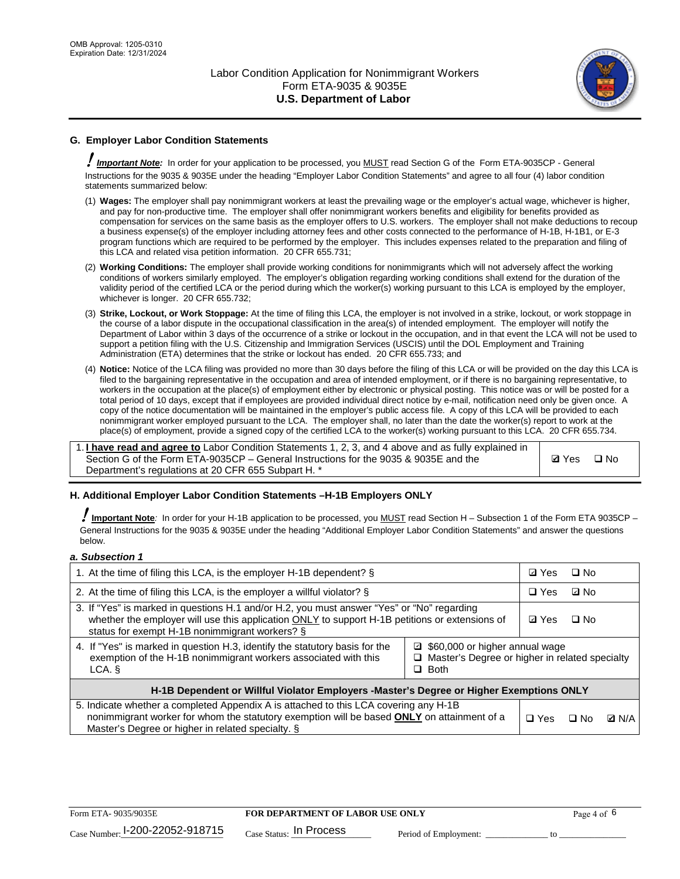

## **G. Employer Labor Condition Statements**

! *Important Note:* In order for your application to be processed, you MUST read Section G of the Form ETA-9035CP - General Instructions for the 9035 & 9035E under the heading "Employer Labor Condition Statements" and agree to all four (4) labor condition statements summarized below:

- (1) **Wages:** The employer shall pay nonimmigrant workers at least the prevailing wage or the employer's actual wage, whichever is higher, and pay for non-productive time. The employer shall offer nonimmigrant workers benefits and eligibility for benefits provided as compensation for services on the same basis as the employer offers to U.S. workers. The employer shall not make deductions to recoup a business expense(s) of the employer including attorney fees and other costs connected to the performance of H-1B, H-1B1, or E-3 program functions which are required to be performed by the employer. This includes expenses related to the preparation and filing of this LCA and related visa petition information. 20 CFR 655.731;
- (2) **Working Conditions:** The employer shall provide working conditions for nonimmigrants which will not adversely affect the working conditions of workers similarly employed. The employer's obligation regarding working conditions shall extend for the duration of the validity period of the certified LCA or the period during which the worker(s) working pursuant to this LCA is employed by the employer, whichever is longer. 20 CFR 655.732;
- (3) **Strike, Lockout, or Work Stoppage:** At the time of filing this LCA, the employer is not involved in a strike, lockout, or work stoppage in the course of a labor dispute in the occupational classification in the area(s) of intended employment. The employer will notify the Department of Labor within 3 days of the occurrence of a strike or lockout in the occupation, and in that event the LCA will not be used to support a petition filing with the U.S. Citizenship and Immigration Services (USCIS) until the DOL Employment and Training Administration (ETA) determines that the strike or lockout has ended. 20 CFR 655.733; and
- (4) **Notice:** Notice of the LCA filing was provided no more than 30 days before the filing of this LCA or will be provided on the day this LCA is filed to the bargaining representative in the occupation and area of intended employment, or if there is no bargaining representative, to workers in the occupation at the place(s) of employment either by electronic or physical posting. This notice was or will be posted for a total period of 10 days, except that if employees are provided individual direct notice by e-mail, notification need only be given once. A copy of the notice documentation will be maintained in the employer's public access file. A copy of this LCA will be provided to each nonimmigrant worker employed pursuant to the LCA. The employer shall, no later than the date the worker(s) report to work at the place(s) of employment, provide a signed copy of the certified LCA to the worker(s) working pursuant to this LCA. 20 CFR 655.734.

1. **I have read and agree to** Labor Condition Statements 1, 2, 3, and 4 above and as fully explained in Section G of the Form ETA-9035CP – General Instructions for the 9035 & 9035E and the Department's regulations at 20 CFR 655 Subpart H. \*

**Ø**Yes ロNo

### **H. Additional Employer Labor Condition Statements –H-1B Employers ONLY**

!**Important Note***:* In order for your H-1B application to be processed, you MUST read Section H – Subsection 1 of the Form ETA 9035CP – General Instructions for the 9035 & 9035E under the heading "Additional Employer Labor Condition Statements" and answer the questions below.

#### *a. Subsection 1*

| 1. At the time of filing this LCA, is the employer H-1B dependent? §                                                                                                                                                                                               | ⊡ Yes | $\Box$ No  |           |              |
|--------------------------------------------------------------------------------------------------------------------------------------------------------------------------------------------------------------------------------------------------------------------|-------|------------|-----------|--------------|
| 2. At the time of filing this LCA, is the employer a willful violator? $\S$                                                                                                                                                                                        |       | $\Box$ Yes | ⊡ No      |              |
| 3. If "Yes" is marked in questions H.1 and/or H.2, you must answer "Yes" or "No" regarding<br>whether the employer will use this application ONLY to support H-1B petitions or extensions of<br>status for exempt H-1B nonimmigrant workers? §                     |       |            | $\Box$ No |              |
| 4. If "Yes" is marked in question H.3, identify the statutory basis for the<br>□ \$60,000 or higher annual wage<br>exemption of the H-1B nonimmigrant workers associated with this<br>$\Box$ Master's Degree or higher in related specialty<br>$\Box$ Both<br>LCA. |       |            |           |              |
| H-1B Dependent or Willful Violator Employers -Master's Degree or Higher Exemptions ONLY                                                                                                                                                                            |       |            |           |              |
| 5. Indicate whether a completed Appendix A is attached to this LCA covering any H-1B<br>nonimmigrant worker for whom the statutory exemption will be based <b>ONLY</b> on attainment of a<br>Master's Degree or higher in related specialty. §                     |       |            | ⊡ No      | <b>D</b> N/A |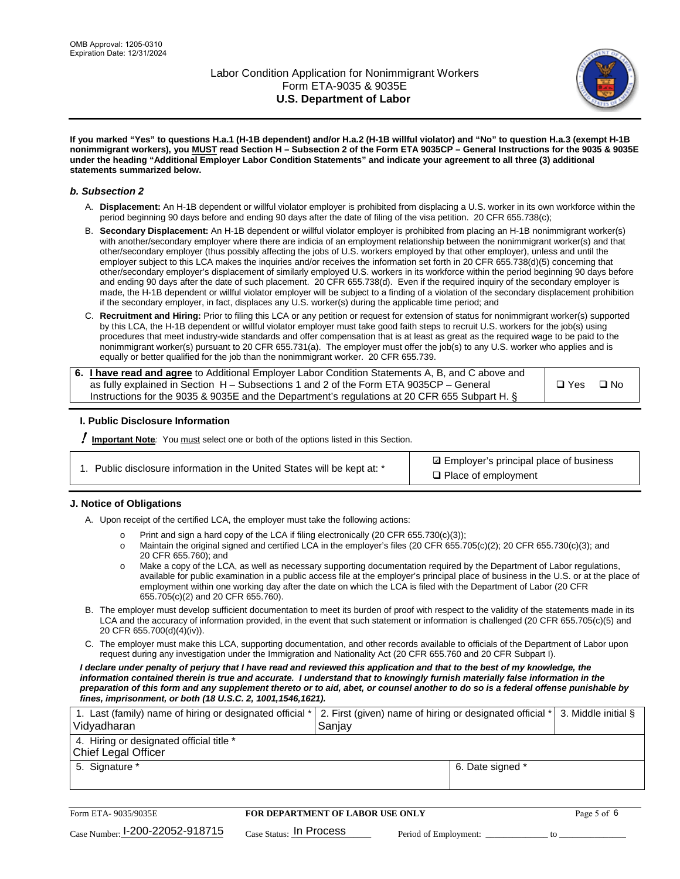

**If you marked "Yes" to questions H.a.1 (H-1B dependent) and/or H.a.2 (H-1B willful violator) and "No" to question H.a.3 (exempt H-1B nonimmigrant workers), you MUST read Section H – Subsection 2 of the Form ETA 9035CP – General Instructions for the 9035 & 9035E under the heading "Additional Employer Labor Condition Statements" and indicate your agreement to all three (3) additional statements summarized below.**

#### *b. Subsection 2*

- A. **Displacement:** An H-1B dependent or willful violator employer is prohibited from displacing a U.S. worker in its own workforce within the period beginning 90 days before and ending 90 days after the date of filing of the visa petition. 20 CFR 655.738(c);
- B. **Secondary Displacement:** An H-1B dependent or willful violator employer is prohibited from placing an H-1B nonimmigrant worker(s) with another/secondary employer where there are indicia of an employment relationship between the nonimmigrant worker(s) and that other/secondary employer (thus possibly affecting the jobs of U.S. workers employed by that other employer), unless and until the employer subject to this LCA makes the inquiries and/or receives the information set forth in 20 CFR 655.738(d)(5) concerning that other/secondary employer's displacement of similarly employed U.S. workers in its workforce within the period beginning 90 days before and ending 90 days after the date of such placement. 20 CFR 655.738(d). Even if the required inquiry of the secondary employer is made, the H-1B dependent or willful violator employer will be subject to a finding of a violation of the secondary displacement prohibition if the secondary employer, in fact, displaces any U.S. worker(s) during the applicable time period; and
- C. **Recruitment and Hiring:** Prior to filing this LCA or any petition or request for extension of status for nonimmigrant worker(s) supported by this LCA, the H-1B dependent or willful violator employer must take good faith steps to recruit U.S. workers for the job(s) using procedures that meet industry-wide standards and offer compensation that is at least as great as the required wage to be paid to the nonimmigrant worker(s) pursuant to 20 CFR 655.731(a). The employer must offer the job(s) to any U.S. worker who applies and is equally or better qualified for the job than the nonimmigrant worker. 20 CFR 655.739.

| 6. I have read and agree to Additional Employer Labor Condition Statements A, B, and C above and |       |           |
|--------------------------------------------------------------------------------------------------|-------|-----------|
| as fully explained in Section H – Subsections 1 and 2 of the Form ETA 9035CP – General           | □ Yes | $\Box$ No |
| Instructions for the 9035 & 9035E and the Department's regulations at 20 CFR 655 Subpart H. §    |       |           |

### **I. Public Disclosure Information**

! **Important Note***:* You must select one or both of the options listed in this Section.

|  | 1. Public disclosure information in the United States will be kept at: * |  |  |  |
|--|--------------------------------------------------------------------------|--|--|--|
|  |                                                                          |  |  |  |

**sqrt** Employer's principal place of business □ Place of employment

### **J. Notice of Obligations**

A. Upon receipt of the certified LCA, the employer must take the following actions:

- o Print and sign a hard copy of the LCA if filing electronically (20 CFR 655.730(c)(3));<br>
Maintain the original signed and certified LCA in the employer's files (20 CFR 655.7
- Maintain the original signed and certified LCA in the employer's files (20 CFR 655.705(c)(2); 20 CFR 655.730(c)(3); and 20 CFR 655.760); and
- o Make a copy of the LCA, as well as necessary supporting documentation required by the Department of Labor regulations, available for public examination in a public access file at the employer's principal place of business in the U.S. or at the place of employment within one working day after the date on which the LCA is filed with the Department of Labor (20 CFR 655.705(c)(2) and 20 CFR 655.760).
- B. The employer must develop sufficient documentation to meet its burden of proof with respect to the validity of the statements made in its LCA and the accuracy of information provided, in the event that such statement or information is challenged (20 CFR 655.705(c)(5) and 20 CFR 655.700(d)(4)(iv)).
- C. The employer must make this LCA, supporting documentation, and other records available to officials of the Department of Labor upon request during any investigation under the Immigration and Nationality Act (20 CFR 655.760 and 20 CFR Subpart I).

*I declare under penalty of perjury that I have read and reviewed this application and that to the best of my knowledge, the*  information contained therein is true and accurate. I understand that to knowingly furnish materially false information in the *preparation of this form and any supplement thereto or to aid, abet, or counsel another to do so is a federal offense punishable by fines, imprisonment, or both (18 U.S.C. 2, 1001,1546,1621).*

| 1. Last (family) name of hiring or designated official *   2. First (given) name of hiring or designated official *   3. Middle initial §<br>Vidyadharan | Saniav           |  |
|----------------------------------------------------------------------------------------------------------------------------------------------------------|------------------|--|
| 4. Hiring or designated official title *<br>Chief Legal Officer                                                                                          |                  |  |
| 5. Signature *                                                                                                                                           | 6. Date signed * |  |

| Form ETA-9035/9035E                         | <b>FOR DEPARTMENT OF LABOR USE ONLY</b> | Page 5 of 6           |  |
|---------------------------------------------|-----------------------------------------|-----------------------|--|
| $_{\text{Case Number:}}$ I-200-22052-918715 | $_{\rm Case~S status:}$ In Process      | Period of Employment: |  |